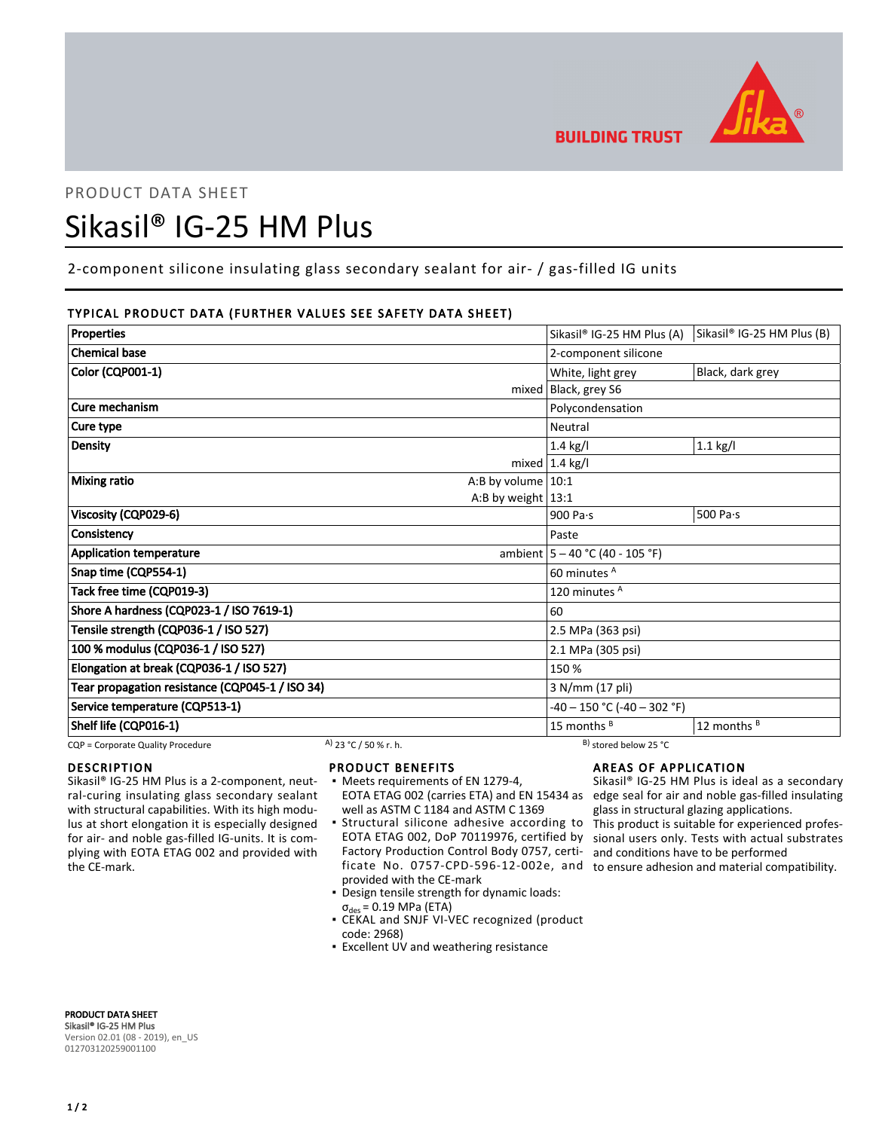

**BUILDING TRUST** 

## PRODUCT DATA SHEET

# Sikasil® IG-25 HM Plus

2-component silicone insulating glass secondary sealant for air- / gas-filled IG units

## TYPICAL PRODUCT DATA (FURTHER VALUES SEE SAFETY DATA SHEET)

| <b>Properties</b>                               |                       |                                    | Sikasil <sup>®</sup> IG-25 HM Plus (A) | Sikasil <sup>®</sup> IG-25 HM Plus (B) |
|-------------------------------------------------|-----------------------|------------------------------------|----------------------------------------|----------------------------------------|
| <b>Chemical base</b>                            |                       |                                    | 2-component silicone                   |                                        |
| Color (CQP001-1)                                |                       |                                    | White, light grey                      | Black, dark grey                       |
|                                                 |                       |                                    | mixed Black, grey S6                   |                                        |
| Cure mechanism                                  |                       |                                    | Polycondensation                       |                                        |
| Cure type                                       |                       |                                    | Neutral                                |                                        |
| Density                                         |                       |                                    | 1.4 kg/l                               | $1.1$ kg/l                             |
|                                                 |                       |                                    | mixed $1.4$ kg/l                       |                                        |
| <b>Mixing ratio</b><br>A:B by volume $10:1$     |                       |                                    |                                        |                                        |
|                                                 |                       | A:B by weight $13:1$               |                                        |                                        |
| Viscosity (CQP029-6)                            |                       |                                    | 900 Pa·s                               | 500 Pa $\cdot$ s                       |
| Consistency                                     |                       |                                    | Paste                                  |                                        |
| <b>Application temperature</b>                  |                       | ambient $ 5 - 40 °C (40 - 105 °F)$ |                                        |                                        |
| Snap time (CQP554-1)                            |                       | 60 minutes A                       |                                        |                                        |
| Tack free time (CQP019-3)                       |                       |                                    | 120 minutes <sup>A</sup>               |                                        |
| Shore A hardness (CQP023-1 / ISO 7619-1)        |                       |                                    | 60                                     |                                        |
| Tensile strength (CQP036-1 / ISO 527)           |                       |                                    | 2.5 MPa (363 psi)                      |                                        |
| 100 % modulus (CQP036-1 / ISO 527)              |                       |                                    | 2.1 MPa (305 psi)                      |                                        |
| Elongation at break (CQP036-1 / ISO 527)        |                       |                                    | 150 %                                  |                                        |
| Tear propagation resistance (CQP045-1 / ISO 34) |                       |                                    | 3 N/mm (17 pli)                        |                                        |
| Service temperature (CQP513-1)                  |                       |                                    | -40 - 150 °C (-40 - 302 °F)            |                                        |
| Shelf life (CQP016-1)                           |                       |                                    | 15 months <sup>B</sup>                 | 12 months B                            |
| CQP = Corporate Quality Procedure               | A) 23 °C / 50 % r. h. |                                    | B) stored below 25 °C                  |                                        |

DESCRIPTION

Sikasil® IG-25 HM Plus is a 2-component, neutral-curing insulating glass secondary sealant with structural capabilities. With its high modulus at short elongation it is especially designed for air- and noble gas-filled IG-units. It is complying with EOTA ETAG 002 and provided with the CE-mark.

## PRODUCT BENEFITS

- Meets requirements of EN 1279-4, well as ASTM C 1184 and ASTM C 1369
- **·** Structural silicone adhesive according to EOTA ETAG 002, DoP 70119976, certified by Factory Production Control Body 0757, certificate No. 0757-CPD-596-12-002e, and to ensure adhesion and material compatibility. provided with the CE-mark
- Design tensile strength for dynamic loads:  $\sigma_{des}$  = 0.19 MPa (ETA)
- CEKAL and SNJF VI-VEC recognized (product code: 2968)
- **Excellent UV and weathering resistance**

## AREAS OF APPLICATION

EOTA ETAG 002 (carries ETA) and EN 15434 as edge seal for air and noble gas-filled insulating Sikasil® IG-25 HM Plus is ideal as a secondary glass in structural glazing applications. This product is suitable for experienced professional users only. Tests with actual substrates and conditions have to be performed

PRODUCT DATA SHEET Sikasil® IG-25 HM Plus Version 02.01 (08 - 2019), en\_US 012703120259001100